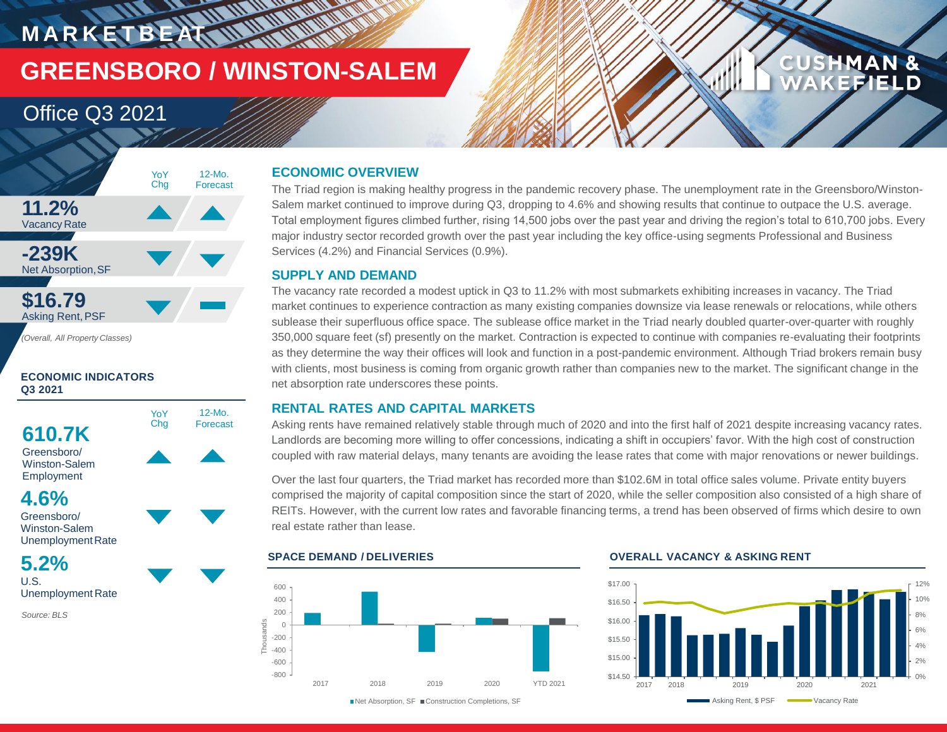## **MARKETBEAT WWW.WWW.WWW GREENSBORO / WINSTON-SALEM**

### Office Q3 2021



*(Overall, All Property Classes)*

### **ECONOMIC INDICATORS Q3 2021**

**610.7K** Greensboro/

Winston-Salem



YoY

12-Mo. Forecast



Greensboro/ Winston-Salem Unemployment Rate

### **5.2%** U.S.

Unemployment Rate

*Source: BLS*

### **ECONOMIC OVERVIEW**

The Triad region is making healthy progress in the pandemic recovery phase. The unemployment rate in the Greensboro/Winston-Salem market continued to improve during Q3, dropping to 4.6% and showing results that continue to outpace the U.S. average. Total employment figures climbed further, rising 14,500 jobs over the past year and driving the region's total to 610,700 jobs. Every major industry sector recorded growth over the past year including the key office-using segments Professional and Business Services (4.2%) and Financial Services (0.9%).

### **SUPPLY AND DEMAND**

The vacancy rate recorded a modest uptick in Q3 to 11.2% with most submarkets exhibiting increases in vacancy. The Triad market continues to experience contraction as many existing companies downsize via lease renewals or relocations, while others sublease their superfluous office space. The sublease office market in the Triad nearly doubled quarter-over-quarter with roughly 350,000 square feet (sf) presently on the market. Contraction is expected to continue with companies re-evaluating their footprints as they determine the way their offices will look and function in a post-pandemic environment. Although Triad brokers remain busy with clients, most business is coming from organic growth rather than companies new to the market. The significant change in the net absorption rate underscores these points.

### **RENTAL RATES AND CAPITAL MARKETS**

Asking rents have remained relatively stable through much of 2020 and into the first half of 2021 despite increasing vacancy rates. Landlords are becoming more willing to offer concessions, indicating a shift in occupiers' favor. With the high cost of construction coupled with raw material delays, many tenants are avoiding the lease rates that come with major renovations or newer buildings.

Over the last four quarters, the Triad market has recorded more than \$102.6M in total office sales volume. Private entity buyers comprised the majority of capital composition since the start of 2020, while the seller composition also consisted of a high share of REITs. However, with the current low rates and favorable financing terms, a trend has been observed of firms which desire to own real estate rather than lease.



#### **SPACE DEMAND / DELIVERIES OVERALL VACANCY & ASKING RENT**



**CUSHMAN &** 

**KEFIELD**